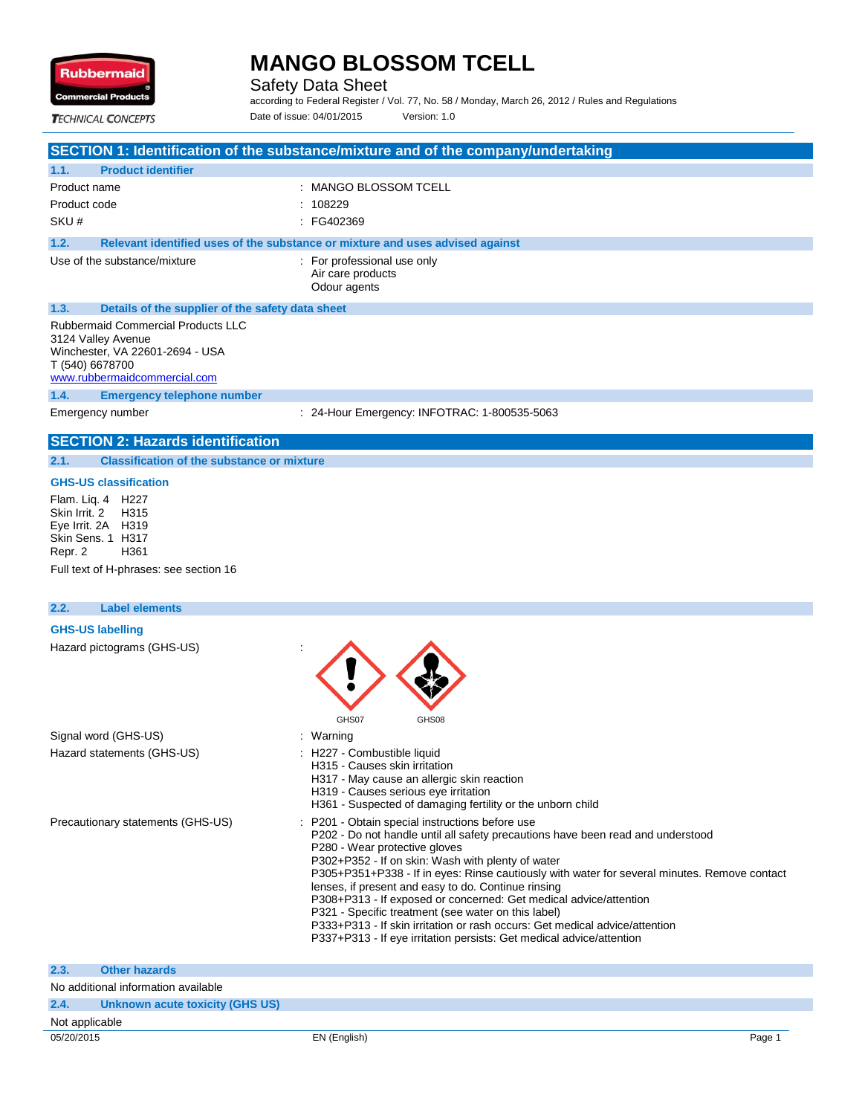

Safety Data Sheet

according to Federal Register / Vol. 77, No. 58 / Monday, March 26, 2012 / Rules and Regulations Date of issue: 04/01/2015 Version: 1.0

**TECHNICAL CONCEPTS** 

|                                                          | SECTION 1: Identification of the substance/mixture and of the company/undertaking |
|----------------------------------------------------------|-----------------------------------------------------------------------------------|
| <b>Product identifier</b><br>1.1.                        |                                                                                   |
| Product name                                             | : MANGO BLOSSOM TCELL                                                             |
| Product code                                             | : 108229                                                                          |
| SKU#                                                     | $\therefore$ FG402369                                                             |
| 1.2.                                                     | Relevant identified uses of the substance or mixture and uses advised against     |
| Use of the substance/mixture                             | For professional use only<br>Air care products<br>Odour agents                    |
| 1.3.<br>Details of the supplier of the safety data sheet |                                                                                   |
| <b>Rubbermaid Commercial Products LLC</b>                |                                                                                   |

3124 Valley Avenue Winchester, VA 22601-2694 - USA T (540) 6678700

www.rubbermaidcommercial.com

**1.4. Emergency telephone number**

Emergency number : 24-Hour Emergency: INFOTRAC: 1-800535-5063

## **SECTION 2: Hazards identification**

**2.1. Classification of the substance or mixture**

#### **GHS-US classification**

Flam. Liq. 4 H227 Skin Irrit. 2 Eye Irrit. 2A H319 Skin Sens. 1 H317 Repr. 2 H361 Full text of H-phrases: see section 16

## **2.2. Label elements GHS-US labelling** Hazard pictograms (GHS-US) : GHS07 GHS08 Signal word (GHS-US) **in the state of the Signal word (GHS-US) in the state of the Signal word (GHS-US)** Hazard statements (GHS-US) : H227 - Combustible liquid H315 - Causes skin irritation H317 - May cause an allergic skin reaction H319 - Causes serious eye irritation H361 - Suspected of damaging fertility or the unborn child Precautionary statements (GHS-US) : P201 - Obtain special instructions before use P202 - Do not handle until all safety precautions have been read and understood P280 - Wear protective gloves P302+P352 - If on skin: Wash with plenty of water P305+P351+P338 - If in eyes: Rinse cautiously with water for several minutes. Remove contact lenses, if present and easy to do. Continue rinsing P308+P313 - If exposed or concerned: Get medical advice/attention P321 - Specific treatment (see water on this label) P333+P313 - If skin irritation or rash occurs: Get medical advice/attention P337+P313 - If eye irritation persists: Get medical advice/attention **2.3. Other hazards**

|                | ____________________                |              |        |
|----------------|-------------------------------------|--------------|--------|
|                | No additional information available |              |        |
| 2.4.           | Unknown acute toxicity (GHS US)     |              |        |
| Not applicable |                                     |              |        |
| 05/20/2015     |                                     | EN (English) | Page 1 |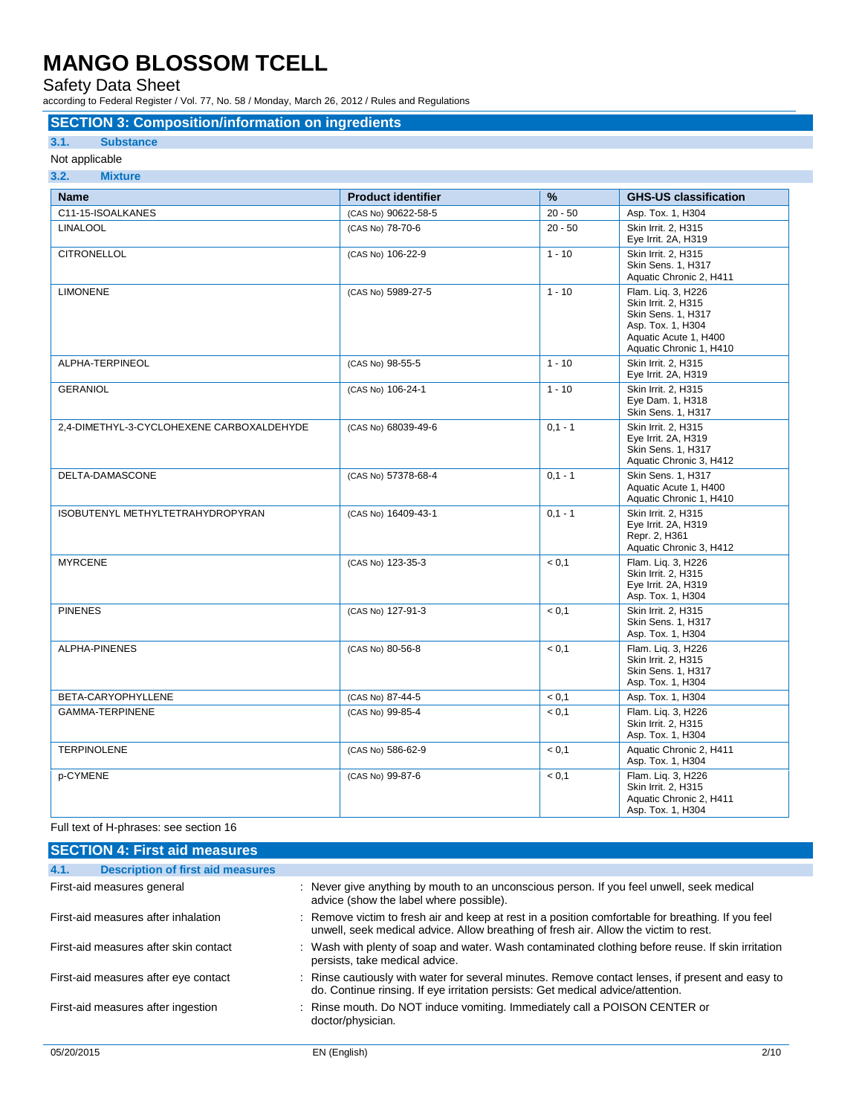Safety Data Sheet

according to Federal Register / Vol. 77, No. 58 / Monday, March 26, 2012 / Rules and Regulations

### **SECTION 3: Composition/information on ingredients**

### **3.1. Substance**

#### Not applicable **3.2. Mixture**

| <b>Name</b>                               | <b>Product identifier</b> | $\%$      | <b>GHS-US classification</b>                                                                                                                    |
|-------------------------------------------|---------------------------|-----------|-------------------------------------------------------------------------------------------------------------------------------------------------|
| C11-15-ISOALKANES                         | (CAS No) 90622-58-5       | $20 - 50$ | Asp. Tox. 1, H304                                                                                                                               |
| <b>LINALOOL</b>                           | (CAS No) 78-70-6          | $20 - 50$ | Skin Irrit. 2, H315<br>Eye Irrit. 2A, H319                                                                                                      |
| <b>CITRONELLOL</b>                        | (CAS No) 106-22-9         | $1 - 10$  | Skin Irrit. 2. H315<br><b>Skin Sens. 1. H317</b><br>Aquatic Chronic 2, H411                                                                     |
| <b>LIMONENE</b>                           | (CAS No) 5989-27-5        | $1 - 10$  | Flam. Lig. 3, H226<br>Skin Irrit. 2. H315<br><b>Skin Sens. 1. H317</b><br>Asp. Tox. 1, H304<br>Aquatic Acute 1, H400<br>Aquatic Chronic 1, H410 |
| ALPHA-TERPINEOL                           | (CAS No) 98-55-5          | $1 - 10$  | Skin Irrit. 2. H315<br>Eye Irrit. 2A, H319                                                                                                      |
| <b>GERANIOL</b>                           | (CAS No) 106-24-1         | $1 - 10$  | Skin Irrit. 2, H315<br>Eye Dam. 1, H318<br>Skin Sens. 1, H317                                                                                   |
| 2.4-DIMETHYL-3-CYCLOHEXENE CARBOXALDEHYDE | (CAS No) 68039-49-6       | $0,1 - 1$ | Skin Irrit. 2. H315<br>Eye Irrit. 2A, H319<br>Skin Sens. 1, H317<br>Aquatic Chronic 3, H412                                                     |
| DELTA-DAMASCONE                           | (CAS No) 57378-68-4       | $0.1 - 1$ | <b>Skin Sens. 1. H317</b><br>Aquatic Acute 1, H400<br>Aquatic Chronic 1, H410                                                                   |
| ISOBUTENYL METHYLTETRAHYDROPYRAN          | (CAS No) 16409-43-1       | $0,1 - 1$ | Skin Irrit. 2, H315<br>Eye Irrit. 2A, H319<br>Repr. 2. H361<br>Aquatic Chronic 3, H412                                                          |
| <b>MYRCENE</b>                            | (CAS No) 123-35-3         | < 0.1     | Flam. Liq. 3, H226<br>Skin Irrit. 2, H315<br>Eye Irrit. 2A, H319<br>Asp. Tox. 1, H304                                                           |
| <b>PINENES</b>                            | (CAS No) 127-91-3         | < 0.1     | Skin Irrit. 2. H315<br>Skin Sens. 1, H317<br>Asp. Tox. 1, H304                                                                                  |
| ALPHA-PINENES                             | (CAS No) 80-56-8          | < 0.1     | Flam. Lig. 3, H226<br>Skin Irrit. 2, H315<br>Skin Sens. 1, H317<br>Asp. Tox. 1, H304                                                            |
| BETA-CARYOPHYLLENE                        | (CAS No) 87-44-5          | < 0.1     | Asp. Tox. 1, H304                                                                                                                               |
| GAMMA-TERPINENE                           | (CAS No) 99-85-4          | < 0.1     | Flam. Lig. 3, H226<br>Skin Irrit. 2, H315<br>Asp. Tox. 1, H304                                                                                  |
| <b>TERPINOLENE</b>                        | (CAS No) 586-62-9         | < 0.1     | Aquatic Chronic 2, H411<br>Asp. Tox. 1, H304                                                                                                    |
| p-CYMENE                                  | (CAS No) 99-87-6          | < 0,1     | Flam. Liq. 3, H226<br>Skin Irrit. 2. H315<br>Aquatic Chronic 2, H411<br>Asp. Tox. 1, H304                                                       |

Full text of H-phrases: see section 16

| <b>SECTION 4: First aid measures</b>             |                                                                                                                                                                                            |
|--------------------------------------------------|--------------------------------------------------------------------------------------------------------------------------------------------------------------------------------------------|
| 4.1.<br><b>Description of first aid measures</b> |                                                                                                                                                                                            |
| First-aid measures general                       | : Never give anything by mouth to an unconscious person. If you feel unwell, seek medical<br>advice (show the label where possible).                                                       |
| First-aid measures after inhalation              | : Remove victim to fresh air and keep at rest in a position comfortable for breathing. If you feel<br>unwell, seek medical advice. Allow breathing of fresh air. Allow the victim to rest. |
| First-aid measures after skin contact            | : Wash with plenty of soap and water. Wash contaminated clothing before reuse. If skin irritation<br>persists, take medical advice.                                                        |
| First-aid measures after eye contact             | : Rinse cautiously with water for several minutes. Remove contact lenses, if present and easy to<br>do. Continue rinsing. If eye irritation persists: Get medical advice/attention.        |
| First-aid measures after ingestion               | : Rinse mouth. Do NOT induce vomiting. Immediately call a POISON CENTER or<br>doctor/physician.                                                                                            |
|                                                  |                                                                                                                                                                                            |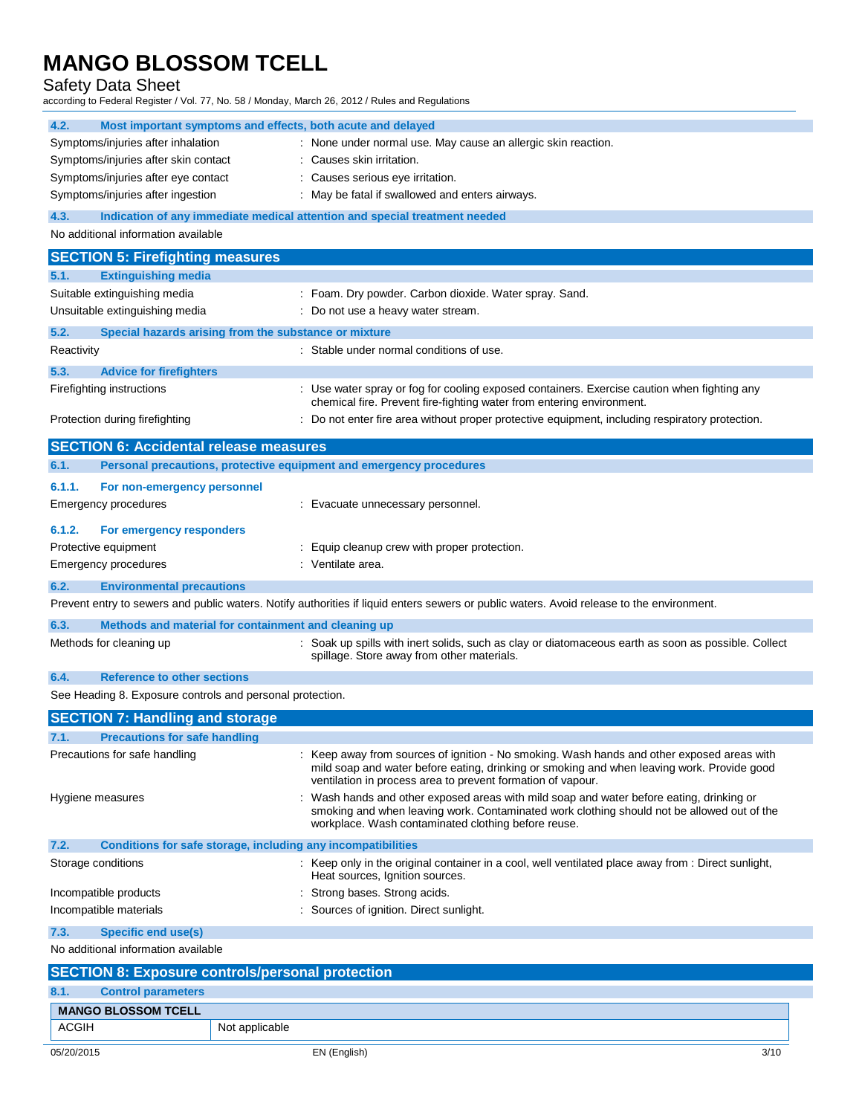### Safety Data Sheet

according to Federal Register / Vol. 77, No. 58 / Monday, March 26, 2012 / Rules and Regulations

| Symptoms/injuries after inhalation<br>: None under normal use. May cause an allergic skin reaction.<br>Symptoms/injuries after skin contact<br>: Causes skin irritation.<br>Symptoms/injuries after eye contact<br>: Causes serious eye irritation.<br>Symptoms/injuries after ingestion<br>: May be fatal if swallowed and enters airways.<br>4.3.<br>Indication of any immediate medical attention and special treatment needed<br>No additional information available<br><b>SECTION 5: Firefighting measures</b><br><b>Extinguishing media</b><br>5.1.<br>Suitable extinguishing media<br>: Foam. Dry powder. Carbon dioxide. Water spray. Sand.<br>Unsuitable extinguishing media<br>: Do not use a heavy water stream.<br>Special hazards arising from the substance or mixture<br>: Stable under normal conditions of use.<br>Reactivity<br>5.3.<br><b>Advice for firefighters</b><br>: Use water spray or fog for cooling exposed containers. Exercise caution when fighting any<br>chemical fire. Prevent fire-fighting water from entering environment.<br>: Do not enter fire area without proper protective equipment, including respiratory protection.<br>Protection during firefighting<br><b>SECTION 6: Accidental release measures</b><br>Personal precautions, protective equipment and emergency procedures<br>For non-emergency personnel<br><b>Emergency procedures</b><br>: Evacuate unnecessary personnel.<br>6.1.2.<br>For emergency responders<br>Protective equipment<br>: Equip cleanup crew with proper protection.<br>: Ventilate area.<br>Emergency procedures<br><b>Environmental precautions</b><br>Prevent entry to sewers and public waters. Notify authorities if liquid enters sewers or public waters. Avoid release to the environment.<br>Methods and material for containment and cleaning up<br>: Soak up spills with inert solids, such as clay or diatomaceous earth as soon as possible. Collect<br>spillage. Store away from other materials.<br><b>Reference to other sections</b><br>See Heading 8. Exposure controls and personal protection.<br><b>SECTION 7: Handling and storage</b><br><b>Precautions for safe handling</b><br>Precautions for safe handling<br>: Keep away from sources of ignition - No smoking. Wash hands and other exposed areas with<br>mild soap and water before eating, drinking or smoking and when leaving work. Provide good<br>ventilation in process area to prevent formation of vapour.<br>: Wash hands and other exposed areas with mild soap and water before eating, drinking or<br>Hygiene measures<br>smoking and when leaving work. Contaminated work clothing should not be allowed out of the<br>workplace. Wash contaminated clothing before reuse.<br>Conditions for safe storage, including any incompatibilities<br>: Keep only in the original container in a cool, well ventilated place away from : Direct sunlight,<br>Storage conditions<br>Heat sources, Ignition sources.<br>: Strong bases. Strong acids.<br>: Sources of ignition. Direct sunlight.<br><b>Specific end use(s)</b><br>No additional information available | 4.2.<br>Most important symptoms and effects, both acute and delayed |  |
|----------------------------------------------------------------------------------------------------------------------------------------------------------------------------------------------------------------------------------------------------------------------------------------------------------------------------------------------------------------------------------------------------------------------------------------------------------------------------------------------------------------------------------------------------------------------------------------------------------------------------------------------------------------------------------------------------------------------------------------------------------------------------------------------------------------------------------------------------------------------------------------------------------------------------------------------------------------------------------------------------------------------------------------------------------------------------------------------------------------------------------------------------------------------------------------------------------------------------------------------------------------------------------------------------------------------------------------------------------------------------------------------------------------------------------------------------------------------------------------------------------------------------------------------------------------------------------------------------------------------------------------------------------------------------------------------------------------------------------------------------------------------------------------------------------------------------------------------------------------------------------------------------------------------------------------------------------------------------------------------------------------------------------------------------------------------------------------------------------------------------------------------------------------------------------------------------------------------------------------------------------------------------------------------------------------------------------------------------------------------------------------------------------------------------------------------------------------------------------------------------------------------------------------------------------------------------------------------------------------------------------------------------------------------------------------------------------------------------------------------------------------------------------------------------------------------------------------------------------------------------------------------------------------------------------------------------------------------------------------------------------------------------------------------------------------------------------------------------------------------------------|---------------------------------------------------------------------|--|
|                                                                                                                                                                                                                                                                                                                                                                                                                                                                                                                                                                                                                                                                                                                                                                                                                                                                                                                                                                                                                                                                                                                                                                                                                                                                                                                                                                                                                                                                                                                                                                                                                                                                                                                                                                                                                                                                                                                                                                                                                                                                                                                                                                                                                                                                                                                                                                                                                                                                                                                                                                                                                                                                                                                                                                                                                                                                                                                                                                                                                                                                                                                                  |                                                                     |  |
|                                                                                                                                                                                                                                                                                                                                                                                                                                                                                                                                                                                                                                                                                                                                                                                                                                                                                                                                                                                                                                                                                                                                                                                                                                                                                                                                                                                                                                                                                                                                                                                                                                                                                                                                                                                                                                                                                                                                                                                                                                                                                                                                                                                                                                                                                                                                                                                                                                                                                                                                                                                                                                                                                                                                                                                                                                                                                                                                                                                                                                                                                                                                  |                                                                     |  |
|                                                                                                                                                                                                                                                                                                                                                                                                                                                                                                                                                                                                                                                                                                                                                                                                                                                                                                                                                                                                                                                                                                                                                                                                                                                                                                                                                                                                                                                                                                                                                                                                                                                                                                                                                                                                                                                                                                                                                                                                                                                                                                                                                                                                                                                                                                                                                                                                                                                                                                                                                                                                                                                                                                                                                                                                                                                                                                                                                                                                                                                                                                                                  |                                                                     |  |
|                                                                                                                                                                                                                                                                                                                                                                                                                                                                                                                                                                                                                                                                                                                                                                                                                                                                                                                                                                                                                                                                                                                                                                                                                                                                                                                                                                                                                                                                                                                                                                                                                                                                                                                                                                                                                                                                                                                                                                                                                                                                                                                                                                                                                                                                                                                                                                                                                                                                                                                                                                                                                                                                                                                                                                                                                                                                                                                                                                                                                                                                                                                                  |                                                                     |  |
|                                                                                                                                                                                                                                                                                                                                                                                                                                                                                                                                                                                                                                                                                                                                                                                                                                                                                                                                                                                                                                                                                                                                                                                                                                                                                                                                                                                                                                                                                                                                                                                                                                                                                                                                                                                                                                                                                                                                                                                                                                                                                                                                                                                                                                                                                                                                                                                                                                                                                                                                                                                                                                                                                                                                                                                                                                                                                                                                                                                                                                                                                                                                  |                                                                     |  |
|                                                                                                                                                                                                                                                                                                                                                                                                                                                                                                                                                                                                                                                                                                                                                                                                                                                                                                                                                                                                                                                                                                                                                                                                                                                                                                                                                                                                                                                                                                                                                                                                                                                                                                                                                                                                                                                                                                                                                                                                                                                                                                                                                                                                                                                                                                                                                                                                                                                                                                                                                                                                                                                                                                                                                                                                                                                                                                                                                                                                                                                                                                                                  |                                                                     |  |
|                                                                                                                                                                                                                                                                                                                                                                                                                                                                                                                                                                                                                                                                                                                                                                                                                                                                                                                                                                                                                                                                                                                                                                                                                                                                                                                                                                                                                                                                                                                                                                                                                                                                                                                                                                                                                                                                                                                                                                                                                                                                                                                                                                                                                                                                                                                                                                                                                                                                                                                                                                                                                                                                                                                                                                                                                                                                                                                                                                                                                                                                                                                                  |                                                                     |  |
|                                                                                                                                                                                                                                                                                                                                                                                                                                                                                                                                                                                                                                                                                                                                                                                                                                                                                                                                                                                                                                                                                                                                                                                                                                                                                                                                                                                                                                                                                                                                                                                                                                                                                                                                                                                                                                                                                                                                                                                                                                                                                                                                                                                                                                                                                                                                                                                                                                                                                                                                                                                                                                                                                                                                                                                                                                                                                                                                                                                                                                                                                                                                  |                                                                     |  |
|                                                                                                                                                                                                                                                                                                                                                                                                                                                                                                                                                                                                                                                                                                                                                                                                                                                                                                                                                                                                                                                                                                                                                                                                                                                                                                                                                                                                                                                                                                                                                                                                                                                                                                                                                                                                                                                                                                                                                                                                                                                                                                                                                                                                                                                                                                                                                                                                                                                                                                                                                                                                                                                                                                                                                                                                                                                                                                                                                                                                                                                                                                                                  |                                                                     |  |
|                                                                                                                                                                                                                                                                                                                                                                                                                                                                                                                                                                                                                                                                                                                                                                                                                                                                                                                                                                                                                                                                                                                                                                                                                                                                                                                                                                                                                                                                                                                                                                                                                                                                                                                                                                                                                                                                                                                                                                                                                                                                                                                                                                                                                                                                                                                                                                                                                                                                                                                                                                                                                                                                                                                                                                                                                                                                                                                                                                                                                                                                                                                                  |                                                                     |  |
|                                                                                                                                                                                                                                                                                                                                                                                                                                                                                                                                                                                                                                                                                                                                                                                                                                                                                                                                                                                                                                                                                                                                                                                                                                                                                                                                                                                                                                                                                                                                                                                                                                                                                                                                                                                                                                                                                                                                                                                                                                                                                                                                                                                                                                                                                                                                                                                                                                                                                                                                                                                                                                                                                                                                                                                                                                                                                                                                                                                                                                                                                                                                  |                                                                     |  |
|                                                                                                                                                                                                                                                                                                                                                                                                                                                                                                                                                                                                                                                                                                                                                                                                                                                                                                                                                                                                                                                                                                                                                                                                                                                                                                                                                                                                                                                                                                                                                                                                                                                                                                                                                                                                                                                                                                                                                                                                                                                                                                                                                                                                                                                                                                                                                                                                                                                                                                                                                                                                                                                                                                                                                                                                                                                                                                                                                                                                                                                                                                                                  | 5.2.                                                                |  |
|                                                                                                                                                                                                                                                                                                                                                                                                                                                                                                                                                                                                                                                                                                                                                                                                                                                                                                                                                                                                                                                                                                                                                                                                                                                                                                                                                                                                                                                                                                                                                                                                                                                                                                                                                                                                                                                                                                                                                                                                                                                                                                                                                                                                                                                                                                                                                                                                                                                                                                                                                                                                                                                                                                                                                                                                                                                                                                                                                                                                                                                                                                                                  |                                                                     |  |
|                                                                                                                                                                                                                                                                                                                                                                                                                                                                                                                                                                                                                                                                                                                                                                                                                                                                                                                                                                                                                                                                                                                                                                                                                                                                                                                                                                                                                                                                                                                                                                                                                                                                                                                                                                                                                                                                                                                                                                                                                                                                                                                                                                                                                                                                                                                                                                                                                                                                                                                                                                                                                                                                                                                                                                                                                                                                                                                                                                                                                                                                                                                                  |                                                                     |  |
|                                                                                                                                                                                                                                                                                                                                                                                                                                                                                                                                                                                                                                                                                                                                                                                                                                                                                                                                                                                                                                                                                                                                                                                                                                                                                                                                                                                                                                                                                                                                                                                                                                                                                                                                                                                                                                                                                                                                                                                                                                                                                                                                                                                                                                                                                                                                                                                                                                                                                                                                                                                                                                                                                                                                                                                                                                                                                                                                                                                                                                                                                                                                  | Firefighting instructions                                           |  |
|                                                                                                                                                                                                                                                                                                                                                                                                                                                                                                                                                                                                                                                                                                                                                                                                                                                                                                                                                                                                                                                                                                                                                                                                                                                                                                                                                                                                                                                                                                                                                                                                                                                                                                                                                                                                                                                                                                                                                                                                                                                                                                                                                                                                                                                                                                                                                                                                                                                                                                                                                                                                                                                                                                                                                                                                                                                                                                                                                                                                                                                                                                                                  |                                                                     |  |
|                                                                                                                                                                                                                                                                                                                                                                                                                                                                                                                                                                                                                                                                                                                                                                                                                                                                                                                                                                                                                                                                                                                                                                                                                                                                                                                                                                                                                                                                                                                                                                                                                                                                                                                                                                                                                                                                                                                                                                                                                                                                                                                                                                                                                                                                                                                                                                                                                                                                                                                                                                                                                                                                                                                                                                                                                                                                                                                                                                                                                                                                                                                                  |                                                                     |  |
|                                                                                                                                                                                                                                                                                                                                                                                                                                                                                                                                                                                                                                                                                                                                                                                                                                                                                                                                                                                                                                                                                                                                                                                                                                                                                                                                                                                                                                                                                                                                                                                                                                                                                                                                                                                                                                                                                                                                                                                                                                                                                                                                                                                                                                                                                                                                                                                                                                                                                                                                                                                                                                                                                                                                                                                                                                                                                                                                                                                                                                                                                                                                  |                                                                     |  |
|                                                                                                                                                                                                                                                                                                                                                                                                                                                                                                                                                                                                                                                                                                                                                                                                                                                                                                                                                                                                                                                                                                                                                                                                                                                                                                                                                                                                                                                                                                                                                                                                                                                                                                                                                                                                                                                                                                                                                                                                                                                                                                                                                                                                                                                                                                                                                                                                                                                                                                                                                                                                                                                                                                                                                                                                                                                                                                                                                                                                                                                                                                                                  | 6.1.                                                                |  |
|                                                                                                                                                                                                                                                                                                                                                                                                                                                                                                                                                                                                                                                                                                                                                                                                                                                                                                                                                                                                                                                                                                                                                                                                                                                                                                                                                                                                                                                                                                                                                                                                                                                                                                                                                                                                                                                                                                                                                                                                                                                                                                                                                                                                                                                                                                                                                                                                                                                                                                                                                                                                                                                                                                                                                                                                                                                                                                                                                                                                                                                                                                                                  | 6.1.1.                                                              |  |
|                                                                                                                                                                                                                                                                                                                                                                                                                                                                                                                                                                                                                                                                                                                                                                                                                                                                                                                                                                                                                                                                                                                                                                                                                                                                                                                                                                                                                                                                                                                                                                                                                                                                                                                                                                                                                                                                                                                                                                                                                                                                                                                                                                                                                                                                                                                                                                                                                                                                                                                                                                                                                                                                                                                                                                                                                                                                                                                                                                                                                                                                                                                                  |                                                                     |  |
|                                                                                                                                                                                                                                                                                                                                                                                                                                                                                                                                                                                                                                                                                                                                                                                                                                                                                                                                                                                                                                                                                                                                                                                                                                                                                                                                                                                                                                                                                                                                                                                                                                                                                                                                                                                                                                                                                                                                                                                                                                                                                                                                                                                                                                                                                                                                                                                                                                                                                                                                                                                                                                                                                                                                                                                                                                                                                                                                                                                                                                                                                                                                  |                                                                     |  |
|                                                                                                                                                                                                                                                                                                                                                                                                                                                                                                                                                                                                                                                                                                                                                                                                                                                                                                                                                                                                                                                                                                                                                                                                                                                                                                                                                                                                                                                                                                                                                                                                                                                                                                                                                                                                                                                                                                                                                                                                                                                                                                                                                                                                                                                                                                                                                                                                                                                                                                                                                                                                                                                                                                                                                                                                                                                                                                                                                                                                                                                                                                                                  |                                                                     |  |
|                                                                                                                                                                                                                                                                                                                                                                                                                                                                                                                                                                                                                                                                                                                                                                                                                                                                                                                                                                                                                                                                                                                                                                                                                                                                                                                                                                                                                                                                                                                                                                                                                                                                                                                                                                                                                                                                                                                                                                                                                                                                                                                                                                                                                                                                                                                                                                                                                                                                                                                                                                                                                                                                                                                                                                                                                                                                                                                                                                                                                                                                                                                                  |                                                                     |  |
|                                                                                                                                                                                                                                                                                                                                                                                                                                                                                                                                                                                                                                                                                                                                                                                                                                                                                                                                                                                                                                                                                                                                                                                                                                                                                                                                                                                                                                                                                                                                                                                                                                                                                                                                                                                                                                                                                                                                                                                                                                                                                                                                                                                                                                                                                                                                                                                                                                                                                                                                                                                                                                                                                                                                                                                                                                                                                                                                                                                                                                                                                                                                  |                                                                     |  |
|                                                                                                                                                                                                                                                                                                                                                                                                                                                                                                                                                                                                                                                                                                                                                                                                                                                                                                                                                                                                                                                                                                                                                                                                                                                                                                                                                                                                                                                                                                                                                                                                                                                                                                                                                                                                                                                                                                                                                                                                                                                                                                                                                                                                                                                                                                                                                                                                                                                                                                                                                                                                                                                                                                                                                                                                                                                                                                                                                                                                                                                                                                                                  | 6.2.                                                                |  |
|                                                                                                                                                                                                                                                                                                                                                                                                                                                                                                                                                                                                                                                                                                                                                                                                                                                                                                                                                                                                                                                                                                                                                                                                                                                                                                                                                                                                                                                                                                                                                                                                                                                                                                                                                                                                                                                                                                                                                                                                                                                                                                                                                                                                                                                                                                                                                                                                                                                                                                                                                                                                                                                                                                                                                                                                                                                                                                                                                                                                                                                                                                                                  |                                                                     |  |
|                                                                                                                                                                                                                                                                                                                                                                                                                                                                                                                                                                                                                                                                                                                                                                                                                                                                                                                                                                                                                                                                                                                                                                                                                                                                                                                                                                                                                                                                                                                                                                                                                                                                                                                                                                                                                                                                                                                                                                                                                                                                                                                                                                                                                                                                                                                                                                                                                                                                                                                                                                                                                                                                                                                                                                                                                                                                                                                                                                                                                                                                                                                                  | 6.3.                                                                |  |
|                                                                                                                                                                                                                                                                                                                                                                                                                                                                                                                                                                                                                                                                                                                                                                                                                                                                                                                                                                                                                                                                                                                                                                                                                                                                                                                                                                                                                                                                                                                                                                                                                                                                                                                                                                                                                                                                                                                                                                                                                                                                                                                                                                                                                                                                                                                                                                                                                                                                                                                                                                                                                                                                                                                                                                                                                                                                                                                                                                                                                                                                                                                                  | Methods for cleaning up                                             |  |
|                                                                                                                                                                                                                                                                                                                                                                                                                                                                                                                                                                                                                                                                                                                                                                                                                                                                                                                                                                                                                                                                                                                                                                                                                                                                                                                                                                                                                                                                                                                                                                                                                                                                                                                                                                                                                                                                                                                                                                                                                                                                                                                                                                                                                                                                                                                                                                                                                                                                                                                                                                                                                                                                                                                                                                                                                                                                                                                                                                                                                                                                                                                                  |                                                                     |  |
|                                                                                                                                                                                                                                                                                                                                                                                                                                                                                                                                                                                                                                                                                                                                                                                                                                                                                                                                                                                                                                                                                                                                                                                                                                                                                                                                                                                                                                                                                                                                                                                                                                                                                                                                                                                                                                                                                                                                                                                                                                                                                                                                                                                                                                                                                                                                                                                                                                                                                                                                                                                                                                                                                                                                                                                                                                                                                                                                                                                                                                                                                                                                  | 6.4.                                                                |  |
|                                                                                                                                                                                                                                                                                                                                                                                                                                                                                                                                                                                                                                                                                                                                                                                                                                                                                                                                                                                                                                                                                                                                                                                                                                                                                                                                                                                                                                                                                                                                                                                                                                                                                                                                                                                                                                                                                                                                                                                                                                                                                                                                                                                                                                                                                                                                                                                                                                                                                                                                                                                                                                                                                                                                                                                                                                                                                                                                                                                                                                                                                                                                  |                                                                     |  |
|                                                                                                                                                                                                                                                                                                                                                                                                                                                                                                                                                                                                                                                                                                                                                                                                                                                                                                                                                                                                                                                                                                                                                                                                                                                                                                                                                                                                                                                                                                                                                                                                                                                                                                                                                                                                                                                                                                                                                                                                                                                                                                                                                                                                                                                                                                                                                                                                                                                                                                                                                                                                                                                                                                                                                                                                                                                                                                                                                                                                                                                                                                                                  |                                                                     |  |
|                                                                                                                                                                                                                                                                                                                                                                                                                                                                                                                                                                                                                                                                                                                                                                                                                                                                                                                                                                                                                                                                                                                                                                                                                                                                                                                                                                                                                                                                                                                                                                                                                                                                                                                                                                                                                                                                                                                                                                                                                                                                                                                                                                                                                                                                                                                                                                                                                                                                                                                                                                                                                                                                                                                                                                                                                                                                                                                                                                                                                                                                                                                                  | 7.1.                                                                |  |
|                                                                                                                                                                                                                                                                                                                                                                                                                                                                                                                                                                                                                                                                                                                                                                                                                                                                                                                                                                                                                                                                                                                                                                                                                                                                                                                                                                                                                                                                                                                                                                                                                                                                                                                                                                                                                                                                                                                                                                                                                                                                                                                                                                                                                                                                                                                                                                                                                                                                                                                                                                                                                                                                                                                                                                                                                                                                                                                                                                                                                                                                                                                                  |                                                                     |  |
|                                                                                                                                                                                                                                                                                                                                                                                                                                                                                                                                                                                                                                                                                                                                                                                                                                                                                                                                                                                                                                                                                                                                                                                                                                                                                                                                                                                                                                                                                                                                                                                                                                                                                                                                                                                                                                                                                                                                                                                                                                                                                                                                                                                                                                                                                                                                                                                                                                                                                                                                                                                                                                                                                                                                                                                                                                                                                                                                                                                                                                                                                                                                  |                                                                     |  |
|                                                                                                                                                                                                                                                                                                                                                                                                                                                                                                                                                                                                                                                                                                                                                                                                                                                                                                                                                                                                                                                                                                                                                                                                                                                                                                                                                                                                                                                                                                                                                                                                                                                                                                                                                                                                                                                                                                                                                                                                                                                                                                                                                                                                                                                                                                                                                                                                                                                                                                                                                                                                                                                                                                                                                                                                                                                                                                                                                                                                                                                                                                                                  |                                                                     |  |
|                                                                                                                                                                                                                                                                                                                                                                                                                                                                                                                                                                                                                                                                                                                                                                                                                                                                                                                                                                                                                                                                                                                                                                                                                                                                                                                                                                                                                                                                                                                                                                                                                                                                                                                                                                                                                                                                                                                                                                                                                                                                                                                                                                                                                                                                                                                                                                                                                                                                                                                                                                                                                                                                                                                                                                                                                                                                                                                                                                                                                                                                                                                                  |                                                                     |  |
|                                                                                                                                                                                                                                                                                                                                                                                                                                                                                                                                                                                                                                                                                                                                                                                                                                                                                                                                                                                                                                                                                                                                                                                                                                                                                                                                                                                                                                                                                                                                                                                                                                                                                                                                                                                                                                                                                                                                                                                                                                                                                                                                                                                                                                                                                                                                                                                                                                                                                                                                                                                                                                                                                                                                                                                                                                                                                                                                                                                                                                                                                                                                  |                                                                     |  |
|                                                                                                                                                                                                                                                                                                                                                                                                                                                                                                                                                                                                                                                                                                                                                                                                                                                                                                                                                                                                                                                                                                                                                                                                                                                                                                                                                                                                                                                                                                                                                                                                                                                                                                                                                                                                                                                                                                                                                                                                                                                                                                                                                                                                                                                                                                                                                                                                                                                                                                                                                                                                                                                                                                                                                                                                                                                                                                                                                                                                                                                                                                                                  | 7.2.                                                                |  |
|                                                                                                                                                                                                                                                                                                                                                                                                                                                                                                                                                                                                                                                                                                                                                                                                                                                                                                                                                                                                                                                                                                                                                                                                                                                                                                                                                                                                                                                                                                                                                                                                                                                                                                                                                                                                                                                                                                                                                                                                                                                                                                                                                                                                                                                                                                                                                                                                                                                                                                                                                                                                                                                                                                                                                                                                                                                                                                                                                                                                                                                                                                                                  |                                                                     |  |
|                                                                                                                                                                                                                                                                                                                                                                                                                                                                                                                                                                                                                                                                                                                                                                                                                                                                                                                                                                                                                                                                                                                                                                                                                                                                                                                                                                                                                                                                                                                                                                                                                                                                                                                                                                                                                                                                                                                                                                                                                                                                                                                                                                                                                                                                                                                                                                                                                                                                                                                                                                                                                                                                                                                                                                                                                                                                                                                                                                                                                                                                                                                                  |                                                                     |  |
|                                                                                                                                                                                                                                                                                                                                                                                                                                                                                                                                                                                                                                                                                                                                                                                                                                                                                                                                                                                                                                                                                                                                                                                                                                                                                                                                                                                                                                                                                                                                                                                                                                                                                                                                                                                                                                                                                                                                                                                                                                                                                                                                                                                                                                                                                                                                                                                                                                                                                                                                                                                                                                                                                                                                                                                                                                                                                                                                                                                                                                                                                                                                  | Incompatible products                                               |  |
|                                                                                                                                                                                                                                                                                                                                                                                                                                                                                                                                                                                                                                                                                                                                                                                                                                                                                                                                                                                                                                                                                                                                                                                                                                                                                                                                                                                                                                                                                                                                                                                                                                                                                                                                                                                                                                                                                                                                                                                                                                                                                                                                                                                                                                                                                                                                                                                                                                                                                                                                                                                                                                                                                                                                                                                                                                                                                                                                                                                                                                                                                                                                  | Incompatible materials                                              |  |
|                                                                                                                                                                                                                                                                                                                                                                                                                                                                                                                                                                                                                                                                                                                                                                                                                                                                                                                                                                                                                                                                                                                                                                                                                                                                                                                                                                                                                                                                                                                                                                                                                                                                                                                                                                                                                                                                                                                                                                                                                                                                                                                                                                                                                                                                                                                                                                                                                                                                                                                                                                                                                                                                                                                                                                                                                                                                                                                                                                                                                                                                                                                                  | 7.3.                                                                |  |
|                                                                                                                                                                                                                                                                                                                                                                                                                                                                                                                                                                                                                                                                                                                                                                                                                                                                                                                                                                                                                                                                                                                                                                                                                                                                                                                                                                                                                                                                                                                                                                                                                                                                                                                                                                                                                                                                                                                                                                                                                                                                                                                                                                                                                                                                                                                                                                                                                                                                                                                                                                                                                                                                                                                                                                                                                                                                                                                                                                                                                                                                                                                                  |                                                                     |  |
| <b>SECTION 8: Exposure controls/personal protection</b>                                                                                                                                                                                                                                                                                                                                                                                                                                                                                                                                                                                                                                                                                                                                                                                                                                                                                                                                                                                                                                                                                                                                                                                                                                                                                                                                                                                                                                                                                                                                                                                                                                                                                                                                                                                                                                                                                                                                                                                                                                                                                                                                                                                                                                                                                                                                                                                                                                                                                                                                                                                                                                                                                                                                                                                                                                                                                                                                                                                                                                                                          |                                                                     |  |
| 8.1.<br><b>Control parameters</b>                                                                                                                                                                                                                                                                                                                                                                                                                                                                                                                                                                                                                                                                                                                                                                                                                                                                                                                                                                                                                                                                                                                                                                                                                                                                                                                                                                                                                                                                                                                                                                                                                                                                                                                                                                                                                                                                                                                                                                                                                                                                                                                                                                                                                                                                                                                                                                                                                                                                                                                                                                                                                                                                                                                                                                                                                                                                                                                                                                                                                                                                                                |                                                                     |  |
| <b>MANGO BLOSSOM TCELL</b>                                                                                                                                                                                                                                                                                                                                                                                                                                                                                                                                                                                                                                                                                                                                                                                                                                                                                                                                                                                                                                                                                                                                                                                                                                                                                                                                                                                                                                                                                                                                                                                                                                                                                                                                                                                                                                                                                                                                                                                                                                                                                                                                                                                                                                                                                                                                                                                                                                                                                                                                                                                                                                                                                                                                                                                                                                                                                                                                                                                                                                                                                                       |                                                                     |  |
|                                                                                                                                                                                                                                                                                                                                                                                                                                                                                                                                                                                                                                                                                                                                                                                                                                                                                                                                                                                                                                                                                                                                                                                                                                                                                                                                                                                                                                                                                                                                                                                                                                                                                                                                                                                                                                                                                                                                                                                                                                                                                                                                                                                                                                                                                                                                                                                                                                                                                                                                                                                                                                                                                                                                                                                                                                                                                                                                                                                                                                                                                                                                  |                                                                     |  |
|                                                                                                                                                                                                                                                                                                                                                                                                                                                                                                                                                                                                                                                                                                                                                                                                                                                                                                                                                                                                                                                                                                                                                                                                                                                                                                                                                                                                                                                                                                                                                                                                                                                                                                                                                                                                                                                                                                                                                                                                                                                                                                                                                                                                                                                                                                                                                                                                                                                                                                                                                                                                                                                                                                                                                                                                                                                                                                                                                                                                                                                                                                                                  | <b>ACGIH</b><br>Not applicable                                      |  |

- I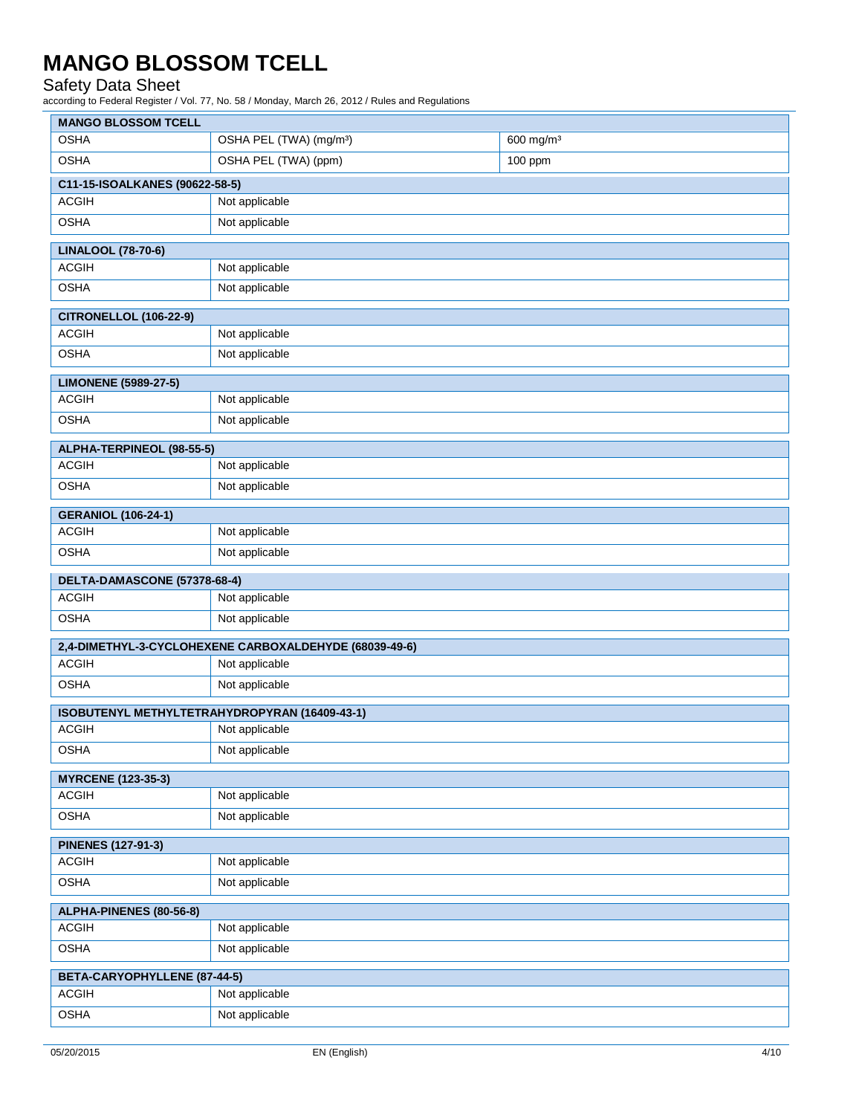### Safety Data Sheet

according to Federal Register / Vol. 77, No. 58 / Monday, March 26, 2012 / Rules and Regulations

| <b>MANGO BLOSSOM TCELL</b>     |                                                        |                       |
|--------------------------------|--------------------------------------------------------|-----------------------|
| <b>OSHA</b>                    | OSHA PEL (TWA) (mg/m <sup>3</sup> )                    | 600 mg/m <sup>3</sup> |
| <b>OSHA</b>                    | OSHA PEL (TWA) (ppm)                                   | 100 ppm               |
| C11-15-ISOALKANES (90622-58-5) |                                                        |                       |
| <b>ACGIH</b>                   | Not applicable                                         |                       |
| <b>OSHA</b>                    | Not applicable                                         |                       |
| <b>LINALOOL (78-70-6)</b>      |                                                        |                       |
| <b>ACGIH</b>                   | Not applicable                                         |                       |
| <b>OSHA</b>                    | Not applicable                                         |                       |
| <b>CITRONELLOL (106-22-9)</b>  |                                                        |                       |
| <b>ACGIH</b>                   | Not applicable                                         |                       |
| <b>OSHA</b>                    | Not applicable                                         |                       |
| <b>LIMONENE (5989-27-5)</b>    |                                                        |                       |
| <b>ACGIH</b>                   | Not applicable                                         |                       |
| <b>OSHA</b>                    | Not applicable                                         |                       |
| ALPHA-TERPINEOL (98-55-5)      |                                                        |                       |
| <b>ACGIH</b>                   | Not applicable                                         |                       |
| <b>OSHA</b>                    | Not applicable                                         |                       |
| <b>GERANIOL (106-24-1)</b>     |                                                        |                       |
| <b>ACGIH</b>                   | Not applicable                                         |                       |
| <b>OSHA</b>                    | Not applicable                                         |                       |
| DELTA-DAMASCONE (57378-68-4)   |                                                        |                       |
| <b>ACGIH</b>                   | Not applicable                                         |                       |
| <b>OSHA</b>                    | Not applicable                                         |                       |
|                                | 2,4-DIMETHYL-3-CYCLOHEXENE CARBOXALDEHYDE (68039-49-6) |                       |
| <b>ACGIH</b>                   | Not applicable                                         |                       |
| <b>OSHA</b>                    | Not applicable                                         |                       |
|                                | ISOBUTENYL METHYLTETRAHYDROPYRAN (16409-43-1)          |                       |
| <b>ACGIH</b>                   | Not applicable                                         |                       |
| <b>OSHA</b>                    | Not applicable                                         |                       |
| <b>MYRCENE (123-35-3)</b>      |                                                        |                       |
| <b>ACGIH</b>                   | Not applicable                                         |                       |
| <b>OSHA</b>                    | Not applicable                                         |                       |
| <b>PINENES (127-91-3)</b>      |                                                        |                       |
| <b>ACGIH</b>                   | Not applicable                                         |                       |
| <b>OSHA</b>                    | Not applicable                                         |                       |
| ALPHA-PINENES (80-56-8)        |                                                        |                       |
| <b>ACGIH</b>                   | Not applicable                                         |                       |
| <b>OSHA</b>                    | Not applicable                                         |                       |
| BETA-CARYOPHYLLENE (87-44-5)   |                                                        |                       |
| <b>ACGIH</b>                   | Not applicable                                         |                       |
| <b>OSHA</b>                    | Not applicable                                         |                       |
|                                |                                                        |                       |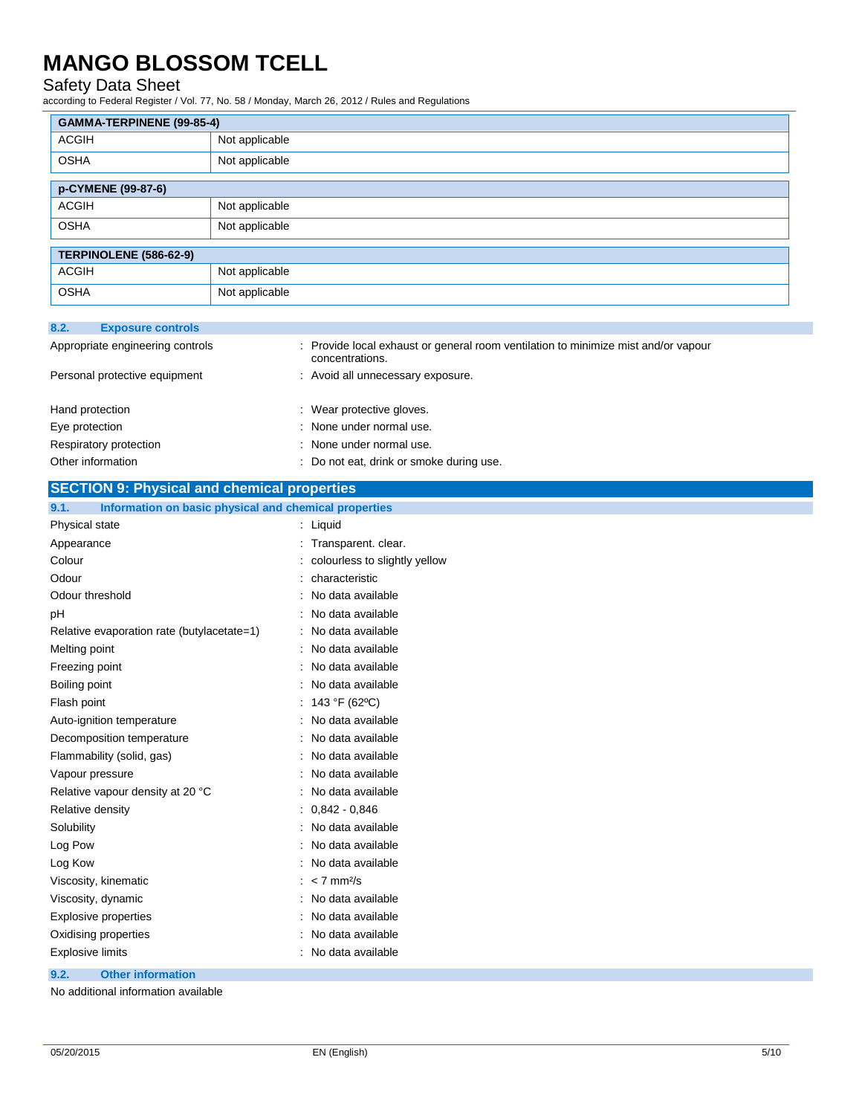### Safety Data Sheet

according to Federal Register / Vol. 77, No. 58 / Monday, March 26, 2012 / Rules and Regulations

| GAMMA-TERPINENE (99-85-4) |                |  |
|---------------------------|----------------|--|
| ACGIH                     | Not applicable |  |
| <b>OSHA</b>               | Not applicable |  |
| p-CYMENE (99-87-6)        |                |  |
| <b>ACGIH</b>              | Not applicable |  |
| <b>OSHA</b>               | Not applicable |  |
| TERPINOLENE (586-62-9)    |                |  |
| <b>ACGIH</b>              | Not applicable |  |
| <b>OSHA</b>               | Not applicable |  |

| 8.2.<br><b>Exposure controls</b> |                                                                                                       |
|----------------------------------|-------------------------------------------------------------------------------------------------------|
| Appropriate engineering controls | : Provide local exhaust or general room ventilation to minimize mist and/or vapour<br>concentrations. |
| Personal protective equipment    | : Avoid all unnecessary exposure.                                                                     |
|                                  |                                                                                                       |
| Hand protection                  | : Wear protective gloves.                                                                             |
| Eye protection                   | : None under normal use.                                                                              |
| Respiratory protection           | : None under normal use.                                                                              |
| Other information                | : Do not eat, drink or smoke during use.                                                              |

| <b>SECTION 9: Physical and chemical properties</b> |  |
|----------------------------------------------------|--|
|                                                    |  |

**9.1. Information on basic physical and chemical properties**

| .<br><b>INTO MODE OF BUSIC PHYSICAL AND CHUMBAL PLOPULACE</b> |                                 |
|---------------------------------------------------------------|---------------------------------|
| Physical state                                                | : Liquid                        |
| Appearance                                                    | : Transparent. clear.           |
| Colour                                                        | : colourless to slightly yellow |
| Odour                                                         | : characteristic                |
| Odour threshold                                               | : No data available             |
| рH                                                            | : No data available             |
| Relative evaporation rate (butylacetate=1)                    | : No data available             |
| Melting point                                                 | : No data available             |
| Freezing point                                                | : No data available             |
| Boiling point                                                 | : No data available             |
| Flash point                                                   | : $143 °F (62 °C)$              |
| Auto-ignition temperature                                     | : No data available             |
| Decomposition temperature                                     | : No data available             |
| Flammability (solid, gas)                                     | : No data available             |
| Vapour pressure                                               | : No data available             |
| Relative vapour density at 20 °C                              | : No data available             |
| Relative density                                              | $: 0.842 - 0.846$               |
| Solubility                                                    | : No data available             |
| Log Pow                                                       | : No data available             |
| Log Kow                                                       | : No data available             |
| Viscosity, kinematic                                          | $: < 7$ mm <sup>2</sup> /s      |
| Viscosity, dynamic                                            | : No data available             |
| Explosive properties                                          | : No data available             |
| Oxidising properties                                          | : No data available             |
| <b>Explosive limits</b>                                       | : No data available             |

**9.2. Other information**

No additional information available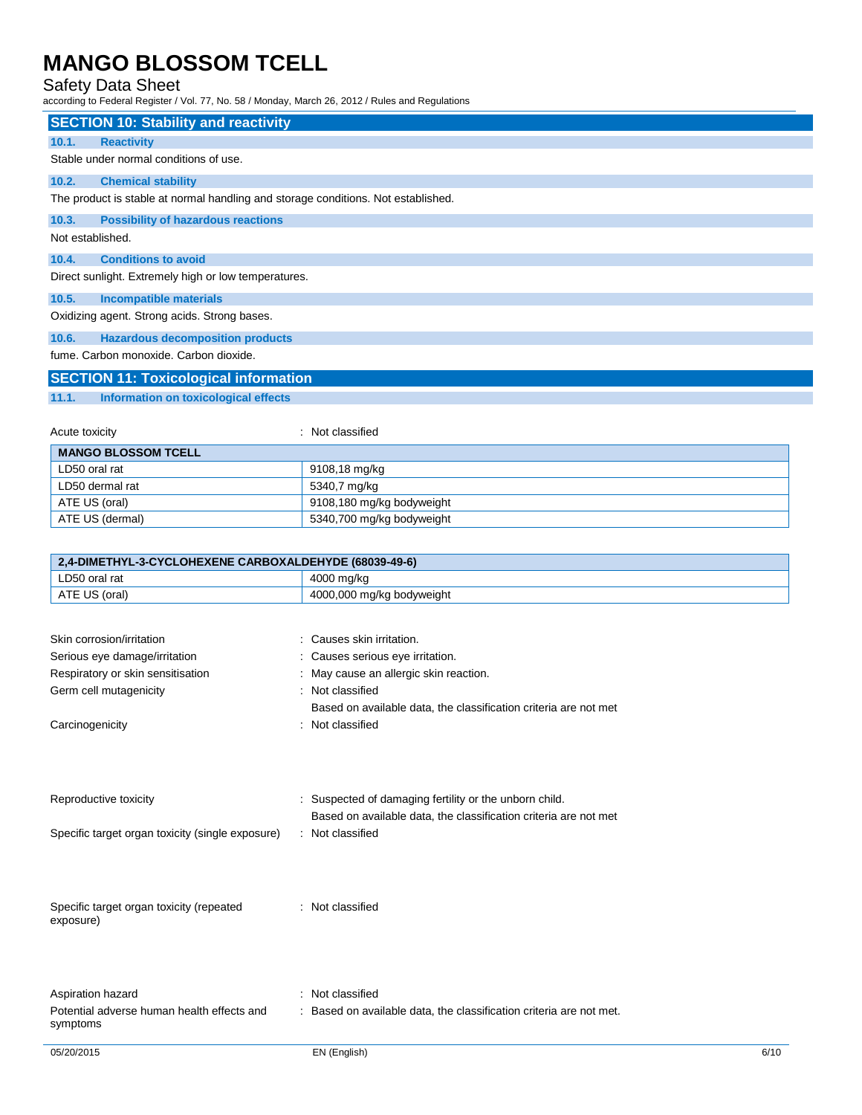## Safety Data Sheet

according to Federal Register / Vol. 77, No. 58 / Monday, March 26, 2012 / Rules and Regulations

|                                                        | according to Federal Register / Vol. 77, No. 58 / Monday, March 26, 2012 / Rules and Regulations |
|--------------------------------------------------------|--------------------------------------------------------------------------------------------------|
| <b>SECTION 10: Stability and reactivity</b>            |                                                                                                  |
| 10.1.<br><b>Reactivity</b>                             |                                                                                                  |
| Stable under normal conditions of use.                 |                                                                                                  |
| 10.2.<br><b>Chemical stability</b>                     |                                                                                                  |
|                                                        | The product is stable at normal handling and storage conditions. Not established.                |
| 10.3.<br><b>Possibility of hazardous reactions</b>     |                                                                                                  |
| Not established.                                       |                                                                                                  |
| 10.4.<br><b>Conditions to avoid</b>                    |                                                                                                  |
| Direct sunlight. Extremely high or low temperatures.   |                                                                                                  |
| 10.5.<br><b>Incompatible materials</b>                 |                                                                                                  |
| Oxidizing agent. Strong acids. Strong bases.           |                                                                                                  |
| 10.6.<br><b>Hazardous decomposition products</b>       |                                                                                                  |
| fume. Carbon monoxide. Carbon dioxide.                 |                                                                                                  |
| <b>SECTION 11: Toxicological information</b>           |                                                                                                  |
| 11.1.<br>Information on toxicological effects          |                                                                                                  |
|                                                        |                                                                                                  |
| Acute toxicity                                         | : Not classified                                                                                 |
| <b>MANGO BLOSSOM TCELL</b>                             |                                                                                                  |
| LD50 oral rat                                          | 9108,18 mg/kg                                                                                    |
| LD50 dermal rat                                        | 5340,7 mg/kg                                                                                     |
| ATE US (oral)                                          | 9108,180 mg/kg bodyweight                                                                        |
| ATE US (dermal)                                        | 5340,700 mg/kg bodyweight                                                                        |
|                                                        |                                                                                                  |
| 2,4-DIMETHYL-3-CYCLOHEXENE CARBOXALDEHYDE (68039-49-6) |                                                                                                  |
| LD50 oral rat                                          | 4000 mg/kg                                                                                       |
| ATE US (oral)                                          | 4000,000 mg/kg bodyweight                                                                        |
|                                                        |                                                                                                  |
|                                                        |                                                                                                  |

| 05/20/2015                                             | EN (English)                                                        | 6/10 |
|--------------------------------------------------------|---------------------------------------------------------------------|------|
| Potential adverse human health effects and<br>symptoms | : Based on available data, the classification criteria are not met. |      |
| Aspiration hazard                                      | : Not classified                                                    |      |
| Specific target organ toxicity (repeated<br>exposure)  | : Not classified                                                    |      |
|                                                        |                                                                     |      |
| Specific target organ toxicity (single exposure)       | : Not classified                                                    |      |
|                                                        | Based on available data, the classification criteria are not met    |      |
| Reproductive toxicity                                  | : Suspected of damaging fertility or the unborn child.              |      |
| Carcinogenicity                                        | : Not classified                                                    |      |
|                                                        | Based on available data, the classification criteria are not met    |      |
| Germ cell mutagenicity                                 | : Not classified                                                    |      |
| Respiratory or skin sensitisation                      | : May cause an allergic skin reaction.                              |      |
| Serious eye damage/irritation                          | : Causes serious eye irritation.                                    |      |
| Skin corrosion/irritation                              | : Causes skin irritation.                                           |      |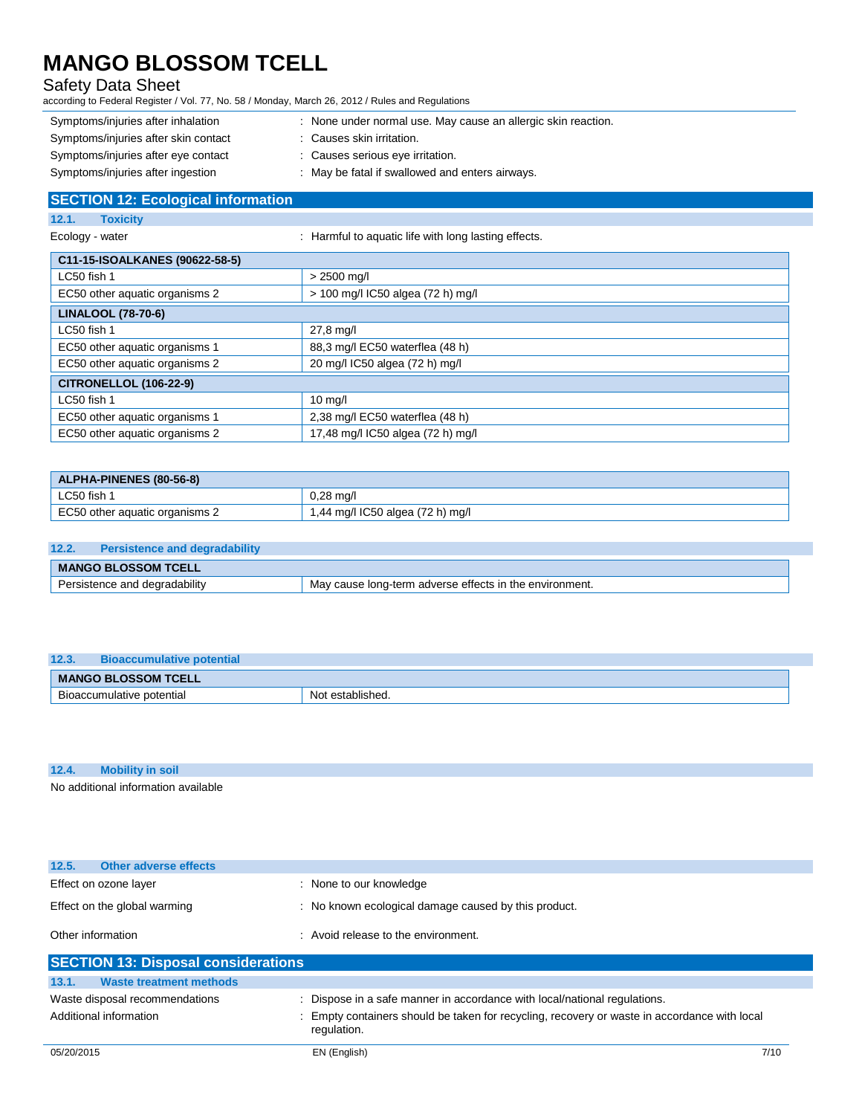## Safety Data Sheet

according to Federal Register / Vol. 77, No. 58 / Monday, March 26, 2012 / Rules and Regulations

- Symptoms/injuries after inhalation : None under normal use. May cause an allergic skin reaction. Symptoms/injuries after skin contact : Causes skin irritation.
- Symptoms/injuries after eye contact : Causes serious eye irritation.
- Symptoms/injuries after ingestion : May be fatal if swallowed and enters airways.

**SECTION 12: Ecological information 12.1. Toxicity** Ecology - water **interpretent in the Cology - water**  $\cdot$  Harmful to aquatic life with long lasting effects.

| C11-15-ISOALKANES (90622-58-5) |                                   |  |
|--------------------------------|-----------------------------------|--|
| LC50 fish 1                    | $> 2500$ mg/l                     |  |
| EC50 other aquatic organisms 2 | > 100 mg/l IC50 algea (72 h) mg/l |  |
| <b>LINALOOL (78-70-6)</b>      |                                   |  |
| LC50 fish 1                    | 27,8 mg/l                         |  |
| EC50 other aquatic organisms 1 | 88,3 mg/l EC50 waterflea (48 h)   |  |
| EC50 other aquatic organisms 2 | 20 mg/l IC50 algea (72 h) mg/l    |  |
| <b>CITRONELLOL (106-22-9)</b>  |                                   |  |
| LC50 fish 1                    | $10 \text{ mg/l}$                 |  |
| EC50 other aquatic organisms 1 | 2,38 mg/l EC50 waterflea (48 h)   |  |
| EC50 other aquatic organisms 2 | 17,48 mg/l IC50 algea (72 h) mg/l |  |

| <b>ALPHA-PINENES (80-56-8)</b> |                                  |  |
|--------------------------------|----------------------------------|--|
| LC50 fish 1                    | $0.28$ ma/l                      |  |
| EC50 other aquatic organisms 2 | 1,44 mg/l IC50 algea (72 h) mg/l |  |

| 12.2.                      | <b>Persistence and degradability</b> |                                                         |
|----------------------------|--------------------------------------|---------------------------------------------------------|
| <b>MANGO BLOSSOM TCELL</b> |                                      |                                                         |
|                            | Persistence and degradability        | May cause long-term adverse effects in the environment. |

| 12.3.                      | <b>Bioaccumulative potential</b> |                  |
|----------------------------|----------------------------------|------------------|
| <b>MANGO BLOSSOM TCELL</b> |                                  |                  |
|                            | Bioaccumulative potential        | Not established. |

| 12.4. |                                     |
|-------|-------------------------------------|
|       | No additional information available |

| Effect on ozone layer                      | : None to our knowledge                                                                                     |  |
|--------------------------------------------|-------------------------------------------------------------------------------------------------------------|--|
| Effect on the global warming               | No known ecological damage caused by this product.                                                          |  |
| Other information                          | : Avoid release to the environment.                                                                         |  |
| <b>SECTION 13: Disposal considerations</b> |                                                                                                             |  |
| 13.1.<br><b>Waste treatment methods</b>    |                                                                                                             |  |
| Waste disposal recommendations             | : Dispose in a safe manner in accordance with local/national regulations.                                   |  |
| Additional information                     | : Empty containers should be taken for recycling, recovery or waste in accordance with local<br>regulation. |  |

**12.5. Other adverse effects**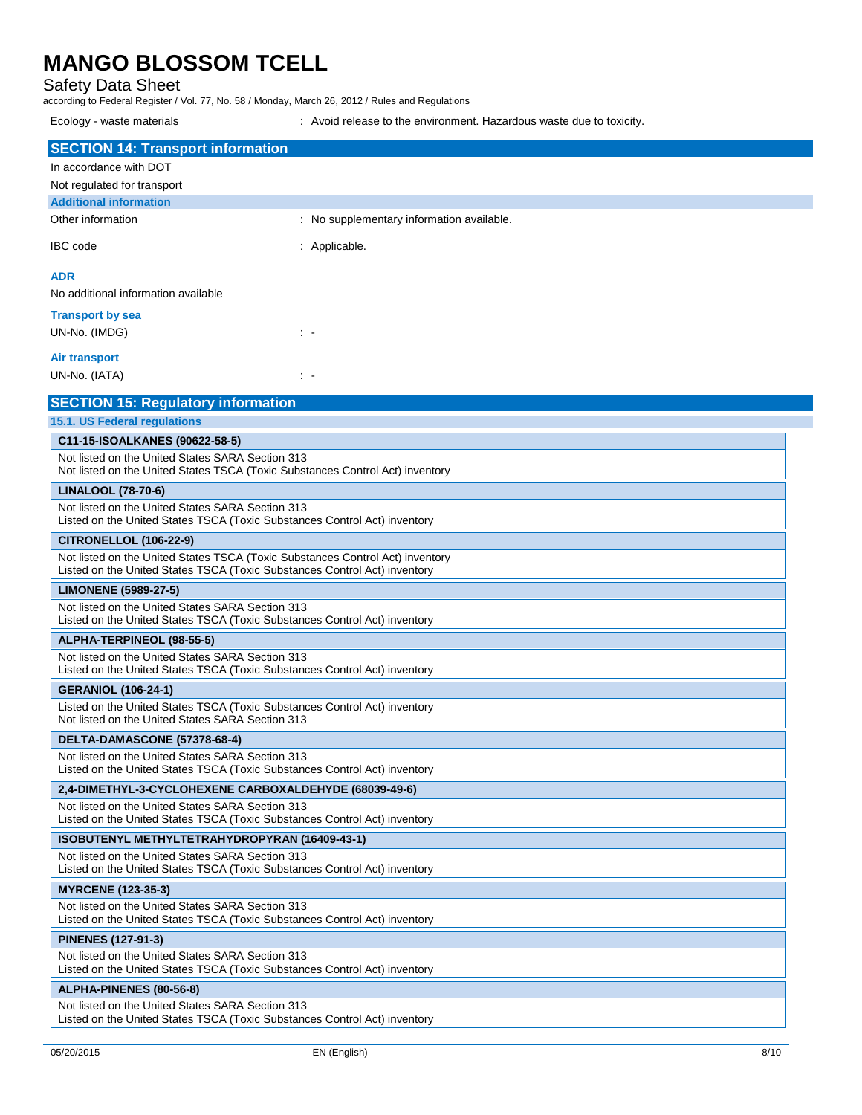Safety Data Sheet

according to Federal Register / Vol. 77, No. 58 / Monday, March 26, 2012 / Rules and Regulations

Ecology - waste materials **interest and the environment.** Hazardous waste due to toxicity. **SECTION 14: Transport information** In accordance with DOT Not regulated for transport **Additional information** Other information **Channel Constant Channel Channel Channel Channel Channel Channel Channel Channel Channel Channel Channel Channel Channel Channel Channel Channel Channel Channel Channel Channel Channel Channel Channel Ch** IBC code : Applicable. **ADR** No additional information available **Transport by sea** UN-No. (IMDG) : - **Air transport** UN-No. (IATA) : - **SECTION 15: Regulatory information 15.1. US Federal regulations C11-15-ISOALKANES (90622-58-5)** Not listed on the United States SARA Section 313 Not listed on the United States TSCA (Toxic Substances Control Act) inventory **LINALOOL (78-70-6)** Not listed on the United States SARA Section 313 Listed on the United States TSCA (Toxic Substances Control Act) inventory **CITRONELLOL (106-22-9)** Not listed on the United States TSCA (Toxic Substances Control Act) inventory Listed on the United States TSCA (Toxic Substances Control Act) inventory **LIMONENE (5989-27-5)** Not listed on the United States SARA Section 313 Listed on the United States TSCA (Toxic Substances Control Act) inventory **ALPHA-TERPINEOL (98-55-5)** Not listed on the United States SARA Section 313 Listed on the United States TSCA (Toxic Substances Control Act) inventory **GERANIOL (106-24-1)** Listed on the United States TSCA (Toxic Substances Control Act) inventory Not listed on the United States SARA Section 313 **DELTA-DAMASCONE (57378-68-4)** Not listed on the United States SARA Section 313 Listed on the United States TSCA (Toxic Substances Control Act) inventory **2,4-DIMETHYL-3-CYCLOHEXENE CARBOXALDEHYDE (68039-49-6)** Not listed on the United States SARA Section 313 Listed on the United States TSCA (Toxic Substances Control Act) inventory **ISOBUTENYL METHYLTETRAHYDROPYRAN (16409-43-1)** Not listed on the United States SARA Section 313 Listed on the United States TSCA (Toxic Substances Control Act) inventory **MYRCENE (123-35-3)** Not listed on the United States SARA Section 313 Listed on the United States TSCA (Toxic Substances Control Act) inventory **PINENES (127-91-3)** Not listed on the United States SARA Section 313 Listed on the United States TSCA (Toxic Substances Control Act) inventory **ALPHA-PINENES (80-56-8)** Not listed on the United States SARA Section 313 Listed on the United States TSCA (Toxic Substances Control Act) inventory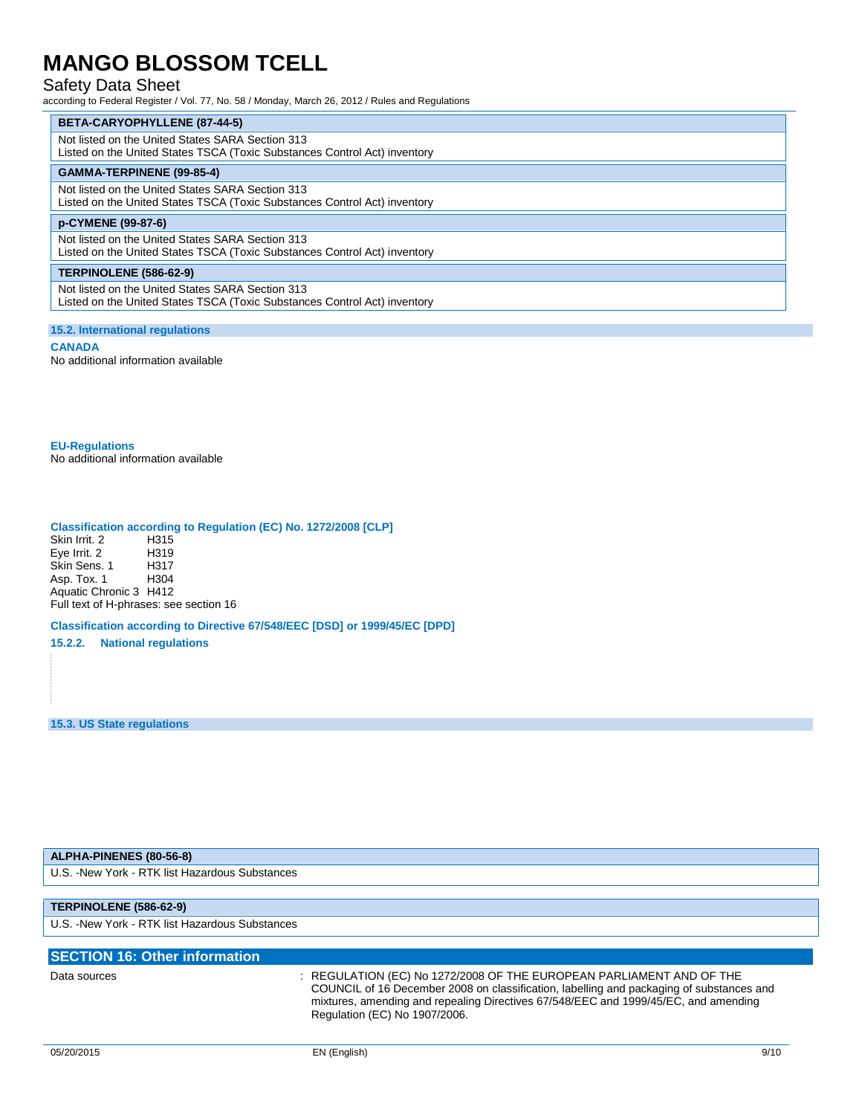### Safety Data Sheet

according to Federal Register / Vol. 77, No. 58 / Monday, March 26, 2012 / Rules and Regulations

**BETA-CARYOPHYLLENE (87-44-5)** Not listed on the United States SARA Section 313 Listed on the United States TSCA (Toxic Substances Control Act) inventory **GAMMA-TERPINENE (99-85-4)** Not listed on the United States SARA Section 313 Listed on the United States TSCA (Toxic Substances Control Act) inventory **p-CYMENE (99-87-6)** Not listed on the United States SARA Section 313 Listed on the United States TSCA (Toxic Substances Control Act) inventory **TERPINOLENE (586-62-9)** Not listed on the United States SARA Section 313 Listed on the United States TSCA (Toxic Substances Control Act) inventory

### **15.2. International regulations**

**CANADA**

No additional information available

**EU-Regulations** No additional information available

## **Classification according to Regulation (EC) No. 1272/2008 [CLP]**

Skin Irrit. 2 H315 Eye Irrit. 2 H319<br>Skin Sens. 1 H317 Skin Sens. 1 Asp. Tox. 1 H304 Aquatic Chronic 3 H412 Full text of H-phrases: see section 16

**Classification according to Directive 67/548/EEC [DSD] or 1999/45/EC [DPD]**

**15.2.2. National regulations**

**15.3. US State regulations**

### **ALPHA-PINENES (80-56-8)**

U.S. -New York - RTK list Hazardous Substances

### **TERPINOLENE (586-62-9)**

U.S. -New York - RTK list Hazardous Substances

| <b>SECTION 16: Other information</b> |                                                                                                                                                                                                                                                                                        |
|--------------------------------------|----------------------------------------------------------------------------------------------------------------------------------------------------------------------------------------------------------------------------------------------------------------------------------------|
| Data sources                         | REGULATION (EC) No 1272/2008 OF THE EUROPEAN PARLIAMENT AND OF THE<br>COUNCIL of 16 December 2008 on classification, labelling and packaging of substances and<br>mixtures, amending and repealing Directives 67/548/EEC and 1999/45/EC, and amending<br>Regulation (EC) No 1907/2006. |